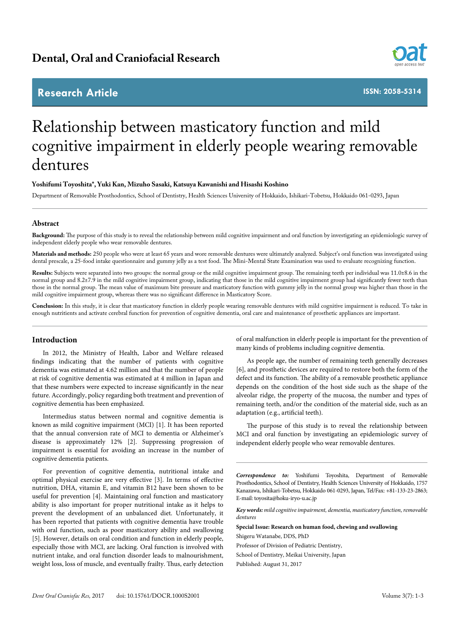# **Research Article**



**ISSN: 2058-5314**

# Relationship between masticatory function and mild cognitive impairment in elderly people wearing removable dentures

## **Yoshifumi Toyoshita\*, Yuki Kan, Mizuho Sasaki, Katsuya Kawanishi and Hisashi Koshino**

Department of Removable Prosthodontics, School of Dentistry, Health Sciences University of Hokkaido, Ishikari-Tobetsu, Hokkaido 061-0293, Japan

# **Abstract**

**Background:** The purpose of this study is to reveal the relationship between mild cognitive impairment and oral function by investigating an epidemiologic survey of independent elderly people who wear removable dentures.

**Materials and methods:** 250 people who were at least 65 years and wore removable dentures were ultimately analyzed. Subject's oral function was investigated using dental prescale, a 25-food intake questionnaire and gummy jelly as a test food. The Mini-Mental State Examination was used to evaluate recognizing function.

**Results:** Subjects were separated into two groups: the normal group or the mild cognitive impairment group. The remaining teeth per individual was 11.0±8.6 in the normal group and 8.2±7.9 in the mild cognitive impairment group, indicating that those in the mild cognitive impairment group had significantly fewer teeth than those in the normal group. The mean value of maximum bite pressure and masticatory function with gummy jelly in the normal group was higher than those in the mild cognitive impairment group, whereas there was no significant difference in Masticatory Score.

Conclusion: In this study, it is clear that masticatory function in elderly people wearing removable dentures with mild cognitive impairment is reduced. To take in enough nutritients and activate cerebral function for prevention of cognitive dementia, oral care and maintenance of prosthetic appliances are important.

#### **Introduction**

In 2012, the Ministry of Health, Labor and Welfare released findings indicating that the number of patients with cognitive dementia was estimated at 4.62 million and that the number of people at risk of cognitive dementia was estimated at 4 million in Japan and that these numbers were expected to increase significantly in the near future. Accordingly, policy regarding both treatment and prevention of cognitive dementia has been emphasized.

Intermedius status between normal and cognitive dementia is known as mild cognitive impairment (MCI) [1]. It has been reported that the annual conversion rate of MCI to dementia or Alzheimer's disease is approximately 12% [2]. Suppressing progression of impairment is essential for avoiding an increase in the number of cognitive dementia patients.

For prevention of cognitive dementia, nutritional intake and optimal physical exercise are very effective [3]. In terms of effective nutrition, DHA, vitamin E, and vitamin B12 have been shown to be useful for prevention [4]. Maintaining oral function and masticatory ability is also important for proper nutritional intake as it helps to prevent the development of an unbalanced diet. Unfortunately, it has been reported that patients with cognitive dementia have trouble with oral function, such as poor masticatory ability and swallowing [5]. However, details on oral condition and function in elderly people, especially those with MCI, are lacking. Oral function is involved with nutrient intake, and oral function disorder leads to malnourishment, weight loss, loss of muscle, and eventually frailty. Thus, early detection of oral malfunction in elderly people is important for the prevention of many kinds of problems including cognitive dementia.

As people age, the number of remaining teeth generally decreases [6], and prosthetic devices are required to restore both the form of the defect and its function. The ability of a removable prosthetic appliance depends on the condition of the host side such as the shape of the alveolar ridge, the property of the mucosa, the number and types of remaining teeth, and/or the condition of the material side, such as an adaptation (e.g., artificial teeth).

The purpose of this study is to reveal the relationship between MCI and oral function by investigating an epidemiologic survey of independent elderly people who wear removable dentures.

*Correspondence to:* Yoshifumi Toyoshita, Department of Removable Prosthodontics, School of Dentistry, Health Sciences University of Hokkaido, 1757 Kanazawa, Ishikari-Tobetsu, Hokkaido 061-0293, Japan, Tel/Fax: +81-133-23-2863; E-mail: toyosita@hoku-iryo-u.ac.jp

*Key words: mild cognitive impairment, dementia, masticatory function, removable dentures* 

**Special Issue: Research on human food, chewing and swallowing** Shigeru Watanabe, DDS, PhD

Professor of Division of Pediatric Dentistry,

School of Dentistry, Meikai University, Japan

Published: August 31, 2017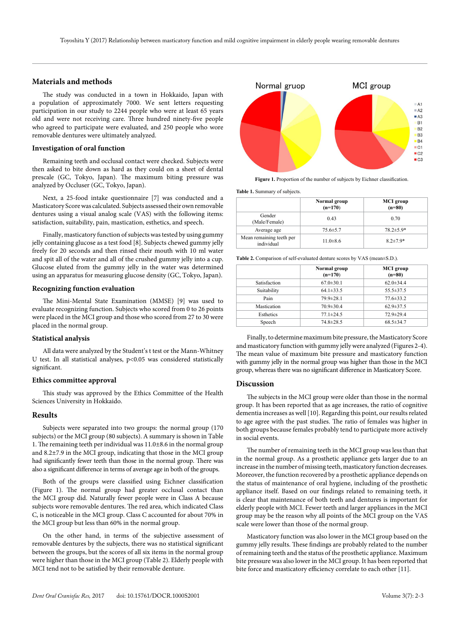# **Materials and methods**

The study was conducted in a town in Hokkaido, Japan with a population of approximately 7000. We sent letters requesting participation in our study to 2244 people who were at least 65 years old and were not receiving care. Three hundred ninety-five people who agreed to participate were evaluated, and 250 people who wore removable dentures were ultimately analyzed.

## **Investigation of oral function**

Remaining teeth and occlusal contact were checked. Subjects were then asked to bite down as hard as they could on a sheet of dental prescale (GC, Tokyo, Japan). The maximum biting pressure was analyzed by Occluser (GC, Tokyo, Japan).

Next, a 25-food intake questionnaire [7] was conducted and a Masticatory Score was calculated. Subjects assessed their own removable dentures using a visual analog scale (VAS) with the following items: satisfaction, suitability, pain, mastication, esthetics, and speech.

Finally, masticatory function of subjects was tested by using gummy jelly containing glucose as a test food [8]. Subjects chewed gummy jelly freely for 20 seconds and then rinsed their mouth with 10 ml water and spit all of the water and all of the crushed gummy jelly into a cup. Glucose eluted from the gummy jelly in the water was determined using an apparatus for measuring glucose density (GC, Tokyo, Japan).

#### **Recognizing function evaluation**

The Mini-Mental State Examination (MMSE) [9] was used to evaluate recognizing function. Subjects who scored from 0 to 26 points were placed in the MCI group and those who scored from 27 to 30 were placed in the normal group.

#### **Statistical analysis**

All data were analyzed by the Student's t test or the Mann-Whitney U test. In all statistical analyses, p<0.05 was considered statistically significant.

# **Ethics committee approval**

This study was approved by the Ethics Committee of the Health Sciences University in Hokkaido.

#### **Results**

Subjects were separated into two groups: the normal group (170 subjects) or the MCI group (80 subjects). A summary is shown in Table 1. The remaining teeth per individual was 11.0±8.6 in the normal group and 8.2±7.9 in the MCI group, indicating that those in the MCI group had significantly fewer teeth than those in the normal group. There was also a significant difference in terms of average age in both of the groups.

Both of the groups were classified using Eichner classification (Figure 1). The normal group had greater occlusal contact than the MCI group did. Naturally fewer people were in Class A because subjects wore removable dentures. The red area, which indicated Class C, is noticeable in the MCI group. Class C accounted for about 70% in the MCI group but less than 60% in the normal group.

On the other hand, in terms of the subjective assessment of removable dentures by the subjects, there was no statistical significant between the groups, but the scores of all six items in the normal group were higher than those in the MCI group (Table 2). Elderly people with MCI tend not to be satisfied by their removable denture.





**Table 1.** Summary of subjects.

|                                        | Normal group<br>$(n=170)$ | <b>MCI</b> group<br>$(n=80)$ |
|----------------------------------------|---------------------------|------------------------------|
| Gender<br>(Male/Female)                | 0.43                      | 0.70                         |
| Average age                            | $75.6 \pm 5.7$            | $78.2 \pm 5.9*$              |
| Mean remaining teeth per<br>individual | $11.0 \pm 8.6$            | $8.2 \pm 7.9*$               |

**Table 2.** Comparison of self-evaluated denture scores by VAS (mean±S.D.).

|              | Normal group<br>$(n=170)$ | <b>MCI</b> group<br>$(n=80)$ |
|--------------|---------------------------|------------------------------|
| Satisfaction | $67.0 \pm 30.1$           | $62.0 \pm 34.4$              |
| Suitability  | $64.1 \pm 33.5$           | $55.5 \pm 37.5$              |
| Pain         | $79.9 \pm 28.1$           | $77.6 \pm 33.2$              |
| Mastication  | $70.9 \pm 30.4$           | $62.9 \pm 37.5$              |
| Esthetics    | $77.1 \pm 24.5$           | 72.9±29.4                    |
| Speech       | $74.8 \pm 28.5$           | $68.5 \pm 34.7$              |

Finally, to determine maximum bite pressure, the Masticatory Score and masticatory function with gummy jelly were analyzed (Figures 2-4). The mean value of maximum bite pressure and masticatory function with gummy jelly in the normal group was higher than those in the MCI group, whereas there was no significant difference in Masticatory Score.

#### **Discussion**

The subjects in the MCI group were older than those in the normal group. It has been reported that as age increases, the ratio of cognitive dementia increases as well [10]. Regarding this point, our results related to age agree with the past studies. The ratio of females was higher in both groups because females probably tend to participate more actively in social events.

The number of remaining teeth in the MCI group was less than that in the normal group. As a prosthetic appliance gets larger due to an increase in the number of missing teeth, masticatory function decreases. Moreover, the function recovered by a prosthetic appliance depends on the status of maintenance of oral hygiene, including of the prosthetic appliance itself. Based on our findings related to remaining teeth, it is clear that maintenance of both teeth and dentures is important for elderly people with MCI. Fewer teeth and larger appliances in the MCI group may be the reason why all points of the MCI group on the VAS scale were lower than those of the normal group.

Masticatory function was also lower in the MCI group based on the gummy jelly results. These findings are probably related to the number of remaining teeth and the status of the prosthetic appliance. Maximum bite pressure was also lower in the MCI group. It has been reported that bite force and masticatory efficiency correlate to each other [11].